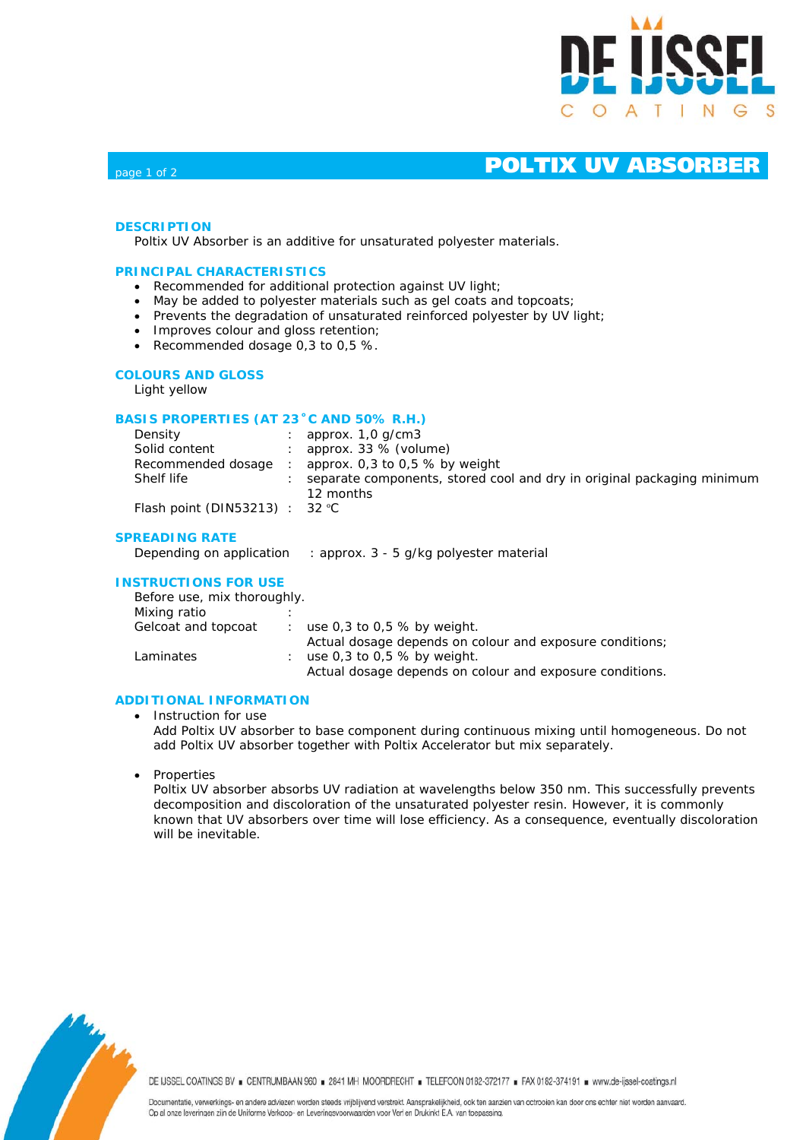

## page 1 of 2 **POLTIX UV ABSORBER**

### **DESCRIPTION**

Poltix UV Absorber is an additive for unsaturated polyester materials.

#### **PRINCIPAL CHARACTERISTICS**

- Recommended for additional protection against UV light;
- May be added to polyester materials such as gel coats and topcoats;
- Prevents the degradation of unsaturated reinforced polyester by UV light;
- Improves colour and gloss retention;
- Recommended dosage 0,3 to 0,5 %.

#### **COLOURS AND GLOSS**

Light yellow

### **BASIS PROPERTIES (AT 23˚C AND 50% R.H.)**

| Density                          | approx. $1,0$ g/cm3                                                    |
|----------------------------------|------------------------------------------------------------------------|
| Solid content                    | approx. 33 % (volume)                                                  |
| Recommended dosage               | approx. $0.3$ to $0.5$ % by weight                                     |
| Shelf life                       | separate components, stored cool and dry in original packaging minimum |
|                                  | 12 months                                                              |
| Flash point (DIN53213) : 32 $°C$ |                                                                        |

#### **SPREADING RATE**

#### **INSTRUCTIONS FOR USE**

| Before use, mix thoroughly. |                                                          |
|-----------------------------|----------------------------------------------------------|
| Mixing ratio                |                                                          |
| Gelcoat and topcoat         | $\therefore$ use 0.3 to 0.5 % by weight.                 |
|                             | Actual dosage depends on colour and exposure conditions; |
| Laminates                   | use $0.3$ to $0.5$ % by weight.                          |
|                             | Actual dosage depends on colour and exposure conditions. |

## **ADDITIONAL INFORMATION**

- Instruction for use Add Poltix UV absorber to base component during continuous mixing until homogeneous. Do not add Poltix UV absorber together with Poltix Accelerator but mix separately.
- Properties

Poltix UV absorber absorbs UV radiation at wavelengths below 350 nm. This successfully prevents decomposition and discoloration of the unsaturated polyester resin. However, it is commonly known that UV absorbers over time will lose efficiency. As a consequence, eventually discoloration will be inevitable.



DE IJSSEL COATINGS BV . CENTRUMBAAN 960 . 2841 MH MOORDRECHT . TELEFOON 0182-372177 . FAX 0182-374191 . www.de-ijssel-coatings.nl